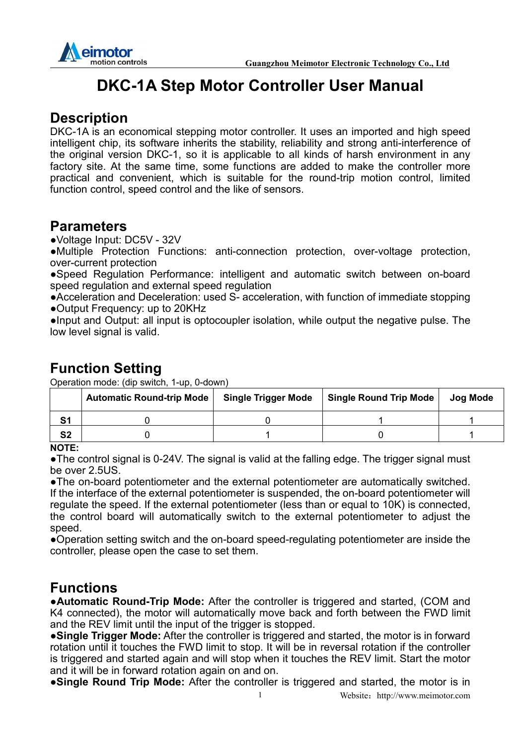

# **DKC-1A Step Motor Controller User Manual**

### **Description**

DKC-1A is an economical stepping motor controller. It uses an imported and high speed intelligent chip, its software inherits the stability, reliability and strong anti-interference of the original version DKC-1, so it is applicable to all kinds of harsh environment in any factory site. At the same time, some functions are added to make the controller more practical and convenient, which is suitable for the round-trip motion control, limited function control, speed control and the like of sensors.

### **Parameters**

●Voltage Input: DC5V - 32V

●Multiple Protection Functions: anti-connection protection, over-voltage protection, over-current protection

●Speed Regulation Performance: intelligent and automatic switch between on-board speed regulation and external speed regulation

●Acceleration and Deceleration: used S- acceleration, with function of immediate stopping ●Output Frequency: up to 20KHz

●Input and Output: all input is optocoupler isolation, while output the negative pulse. The low level signal is valid.

## **Function Setting**

Operation mode: (dip switch, 1-up, 0-down)

|                | <b>Automatic Round-trip Mode</b> | <b>Single Trigger Mode</b> | Single Round Trip Mode | Jog Mode |
|----------------|----------------------------------|----------------------------|------------------------|----------|
| S <sub>1</sub> |                                  |                            |                        |          |
| <b>S2</b>      |                                  |                            |                        |          |

#### **NOTE:**

●The control signal is 0-24V. The signal is valid at the falling edge. The trigger signal must be over 2.5US.

●The on-board potentiometer and the external potentiometer are automatically switched. If the interface of the external potentiometer is suspended, the on-board potentiometer will regulate the speed. If the external potentiometer (less than or equal to 10K) is connected, the control board will automatically switch to the external potentiometer to adjust the speed.

●Operation setting switch and the on-board speed-regulating potentiometer are inside the controller, please open the case to set them.

### **Functions**

●**Automatic Round-Trip Mode:** After the controller is triggered and started, (COM and K4 connected), the motor will automatically move back and forth between the FWD limit and the REV limit until the input of the trigger is stopped.

●**Single Trigger Mode:** After the controller is triggered and started, the motor is in forward rotation until it touches the FWD limit to stop. It will be in reversal rotation if the controller is triggered and started again and will stop when it touches the REV limit. Start the motor and it will be in forward rotation again on and on.

●**Single Round Trip Mode:** After the controller is triggered and started, the motor is in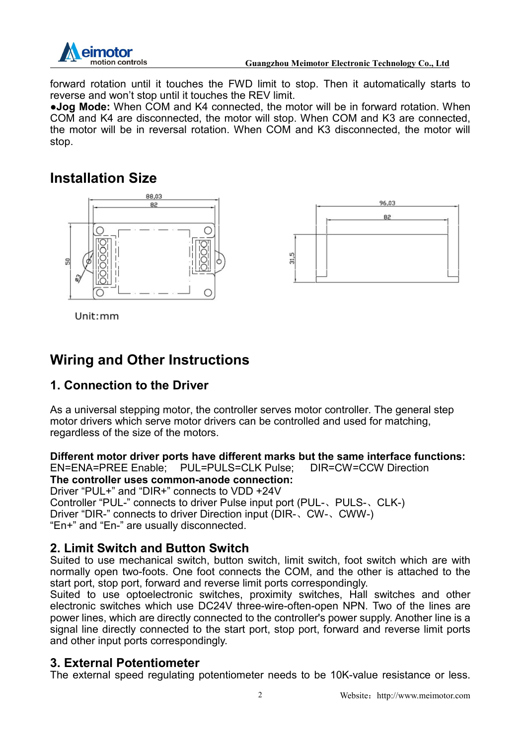

forward rotation until it touches the FWD limit to stop. Then it automatically starts to reverse and won't stop until it touches the REV limit.

●**Jog Mode:** When COM and K4 connected, the motor will be in forward rotation. When COM and K4 are disconnected, the motor will stop. When COM and K3 are connected, the motor will be in reversal rotation. When COM and K3 disconnected, the motor will stop.

## **Installation Size**





Unit:mm

# **Wiring and Other Instructions**

#### **1. Connection to the Driver**

As a universal stepping motor, the controller serves motor controller. The general step motor drivers which serve motor drivers can be controlled and used for matching, regardless of the size of the motors.

**Different motor driver ports have different marks but the same interface functions:**<br>EN=ENA=PREE Enable: PUL=PULS=CLK Pulse: DIR=CW=CCW Direction

DIR=CW=CCW Direction **The controller uses common-anode connection:**  Driver "PUL+" and "DIR+" connects to VDD +24V Controller "PUL-" connects to driver Pulse input port (PUL-、PULS-、CLK-) Driver "DIR-" connects to driver Direction input (DIR-、CW-、CWW-) "En+" and "En-" are usually disconnected.

#### **2. Limit Switch and Button Switch**

Suited to use mechanical switch, button switch, limit switch, foot switch which are with normally open two-foots. One foot connects the COM, and the other is attached to the start port, stop port, forward and reverse limit ports correspondingly.

Suited to use optoelectronic switches, proximity switches, Hall switches and other electronic switches which use DC24V three-wire-often-open NPN. Two of the lines are power lines, which are directly connected to the controller's power supply. Another line is a signal line directly connected to the start port, stop port, forward and reverse limit ports and other input ports correspondingly.

#### **3. External Potentiometer**

The external speed regulating potentiometer needs to be 10K-value resistance or less.